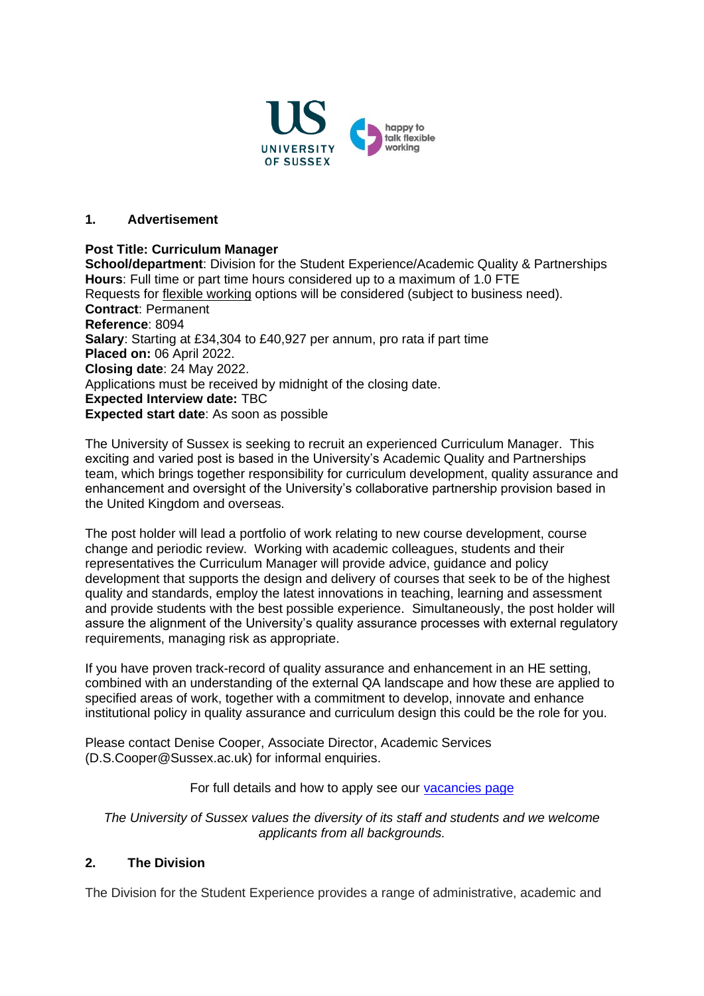

#### **1. Advertisement**

### **Post Title: Curriculum Manager**

**School/department**: Division for the Student Experience/Academic Quality & Partnerships **Hours**: Full time or part time hours considered up to a maximum of 1.0 FTE Requests for [flexible working](http://www.sussex.ac.uk/humanresources/personnel/flexible-working) options will be considered (subject to business need). **Contract**: Permanent **Reference**: 8094 **Salary**: Starting at £34,304 to £40,927 per annum, pro rata if part time **Placed on:** 06 April 2022. **Closing date**: 24 May 2022. Applications must be received by midnight of the closing date. **Expected Interview date:** TBC **Expected start date**: As soon as possible

The University of Sussex is seeking to recruit an experienced Curriculum Manager. This exciting and varied post is based in the University's Academic Quality and Partnerships team, which brings together responsibility for curriculum development, quality assurance and enhancement and oversight of the University's collaborative partnership provision based in the United Kingdom and overseas.

The post holder will lead a portfolio of work relating to new course development, course change and periodic review. Working with academic colleagues, students and their representatives the Curriculum Manager will provide advice, guidance and policy development that supports the design and delivery of courses that seek to be of the highest quality and standards, employ the latest innovations in teaching, learning and assessment and provide students with the best possible experience. Simultaneously, the post holder will assure the alignment of the University's quality assurance processes with external regulatory requirements, managing risk as appropriate.

If you have proven track-record of quality assurance and enhancement in an HE setting, combined with an understanding of the external QA landscape and how these are applied to specified areas of work, together with a commitment to develop, innovate and enhance institutional policy in quality assurance and curriculum design this could be the role for you.

Please contact Denise Cooper, Associate Director, Academic Services (D.S.Cooper@Sussex.ac.uk) for informal enquiries.

For full details and how to apply see our [vacancies page](http://www.sussex.ac.uk/about/jobs)

*The University of Sussex values the diversity of its staff and students and we welcome applicants from all backgrounds.*

# **2. The Division**

The Division for the Student Experience provides a range of administrative, academic and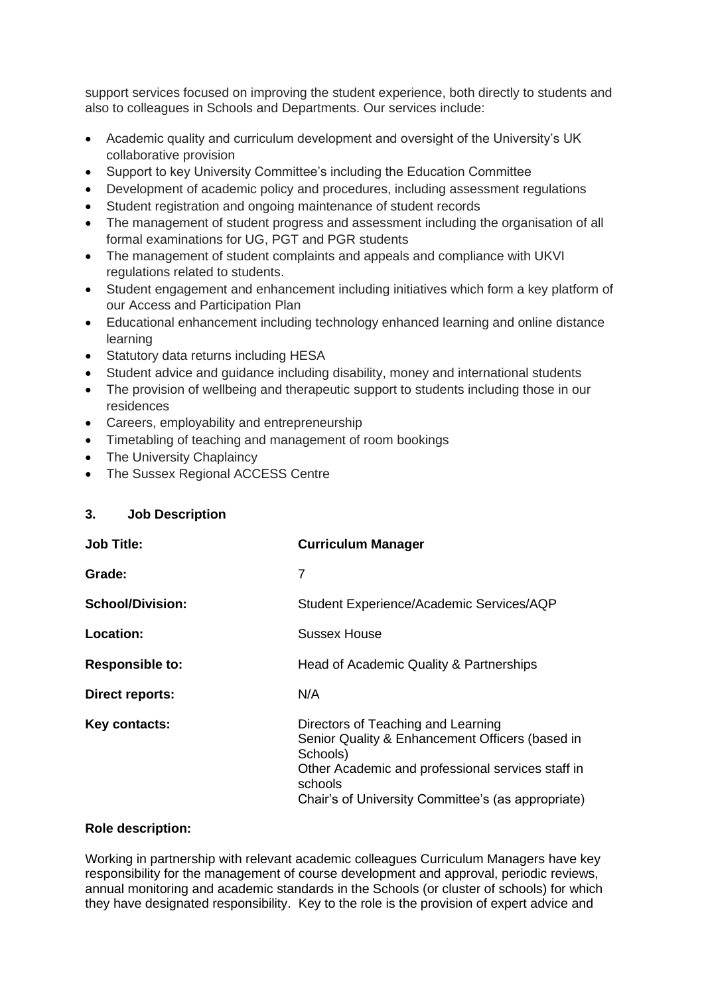support services focused on improving the student experience, both directly to students and also to colleagues in Schools and Departments. Our services include:

- Academic quality and curriculum development and oversight of the University's UK collaborative provision
- Support to key University Committee's including the Education Committee
- Development of academic policy and procedures, including assessment regulations
- Student registration and ongoing maintenance of student records
- The management of student progress and assessment including the organisation of all formal examinations for UG, PGT and PGR students
- The management of student complaints and appeals and compliance with UKVI regulations related to students.
- Student engagement and enhancement including initiatives which form a key platform of our Access and Participation Plan
- Educational enhancement including technology enhanced learning and online distance learning
- Statutory data returns including HESA
- Student advice and guidance including disability, money and international students
- The provision of wellbeing and therapeutic support to students including those in our residences
- Careers, employability and entrepreneurship
- Timetabling of teaching and management of room bookings
- The University Chaplaincy
- The Sussex Regional ACCESS Centre

### **3. Job Description**

| <b>Job Title:</b>       | <b>Curriculum Manager</b>                                                                                                                                                                                               |
|-------------------------|-------------------------------------------------------------------------------------------------------------------------------------------------------------------------------------------------------------------------|
| Grade:                  | $\overline{7}$                                                                                                                                                                                                          |
| <b>School/Division:</b> | Student Experience/Academic Services/AQP                                                                                                                                                                                |
| Location:               | <b>Sussex House</b>                                                                                                                                                                                                     |
| <b>Responsible to:</b>  | Head of Academic Quality & Partnerships                                                                                                                                                                                 |
| Direct reports:         | N/A                                                                                                                                                                                                                     |
| Key contacts:           | Directors of Teaching and Learning<br>Senior Quality & Enhancement Officers (based in<br>Schools)<br>Other Academic and professional services staff in<br>schools<br>Chair's of University Committee's (as appropriate) |

### **Role description:**

Working in partnership with relevant academic colleagues Curriculum Managers have key responsibility for the management of course development and approval, periodic reviews, annual monitoring and academic standards in the Schools (or cluster of schools) for which they have designated responsibility. Key to the role is the provision of expert advice and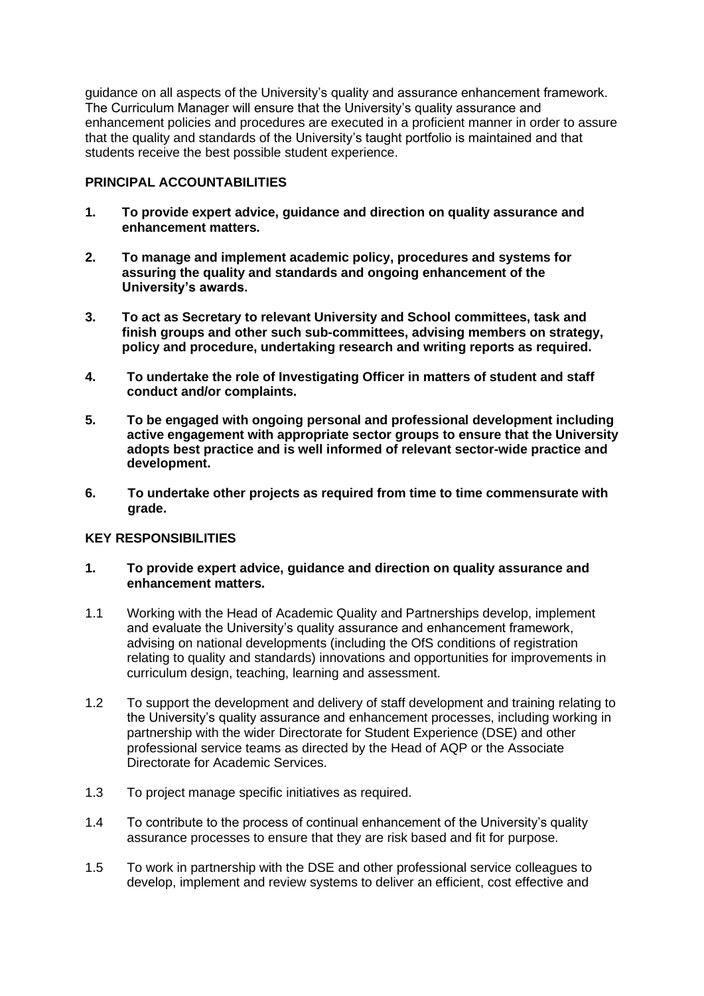guidance on all aspects of the University's quality and assurance enhancement framework. The Curriculum Manager will ensure that the University's quality assurance and enhancement policies and procedures are executed in a proficient manner in order to assure that the quality and standards of the University's taught portfolio is maintained and that students receive the best possible student experience.

### **PRINCIPAL ACCOUNTABILITIES**

- **1. To provide expert advice, guidance and direction on quality assurance and enhancement matters.**
- **2. To manage and implement academic policy, procedures and systems for assuring the quality and standards and ongoing enhancement of the University's awards.**
- **3. To act as Secretary to relevant University and School committees, task and finish groups and other such sub-committees, advising members on strategy, policy and procedure, undertaking research and writing reports as required.**
- **4. To undertake the role of Investigating Officer in matters of student and staff conduct and/or complaints.**
- **5. To be engaged with ongoing personal and professional development including active engagement with appropriate sector groups to ensure that the University adopts best practice and is well informed of relevant sector-wide practice and development.**
- **6. To undertake other projects as required from time to time commensurate with grade.**

### **KEY RESPONSIBILITIES**

- **1. To provide expert advice, guidance and direction on quality assurance and enhancement matters.**
- 1.1 Working with the Head of Academic Quality and Partnerships develop, implement and evaluate the University's quality assurance and enhancement framework, advising on national developments (including the OfS conditions of registration relating to quality and standards) innovations and opportunities for improvements in curriculum design, teaching, learning and assessment.
- 1.2 To support the development and delivery of staff development and training relating to the University's quality assurance and enhancement processes, including working in partnership with the wider Directorate for Student Experience (DSE) and other professional service teams as directed by the Head of AQP or the Associate Directorate for Academic Services.
- 1.3 To project manage specific initiatives as required.
- 1.4 To contribute to the process of continual enhancement of the University's quality assurance processes to ensure that they are risk based and fit for purpose.
- 1.5 To work in partnership with the DSE and other professional service colleagues to develop, implement and review systems to deliver an efficient, cost effective and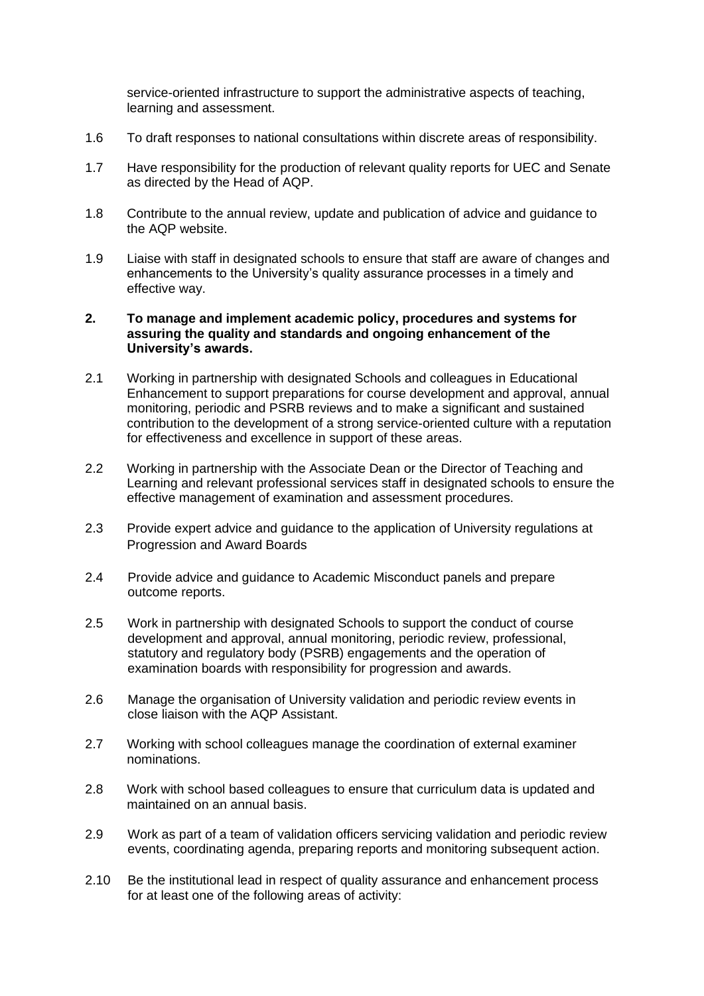service-oriented infrastructure to support the administrative aspects of teaching, learning and assessment.

- 1.6 To draft responses to national consultations within discrete areas of responsibility.
- 1.7 Have responsibility for the production of relevant quality reports for UEC and Senate as directed by the Head of AQP.
- 1.8 Contribute to the annual review, update and publication of advice and guidance to the AQP website.
- 1.9 Liaise with staff in designated schools to ensure that staff are aware of changes and enhancements to the University's quality assurance processes in a timely and effective way.

### **2. To manage and implement academic policy, procedures and systems for assuring the quality and standards and ongoing enhancement of the University's awards.**

- 2.1 Working in partnership with designated Schools and colleagues in Educational Enhancement to support preparations for course development and approval, annual monitoring, periodic and PSRB reviews and to make a significant and sustained contribution to the development of a strong service-oriented culture with a reputation for effectiveness and excellence in support of these areas.
- 2.2 Working in partnership with the Associate Dean or the Director of Teaching and Learning and relevant professional services staff in designated schools to ensure the effective management of examination and assessment procedures.
- 2.3 Provide expert advice and guidance to the application of University regulations at Progression and Award Boards
- 2.4 Provide advice and guidance to Academic Misconduct panels and prepare outcome reports.
- 2.5 Work in partnership with designated Schools to support the conduct of course development and approval, annual monitoring, periodic review, professional, statutory and regulatory body (PSRB) engagements and the operation of examination boards with responsibility for progression and awards.
- 2.6 Manage the organisation of University validation and periodic review events in close liaison with the AQP Assistant.
- 2.7 Working with school colleagues manage the coordination of external examiner nominations.
- 2.8 Work with school based colleagues to ensure that curriculum data is updated and maintained on an annual basis.
- 2.9 Work as part of a team of validation officers servicing validation and periodic review events, coordinating agenda, preparing reports and monitoring subsequent action.
- 2.10 Be the institutional lead in respect of quality assurance and enhancement process for at least one of the following areas of activity: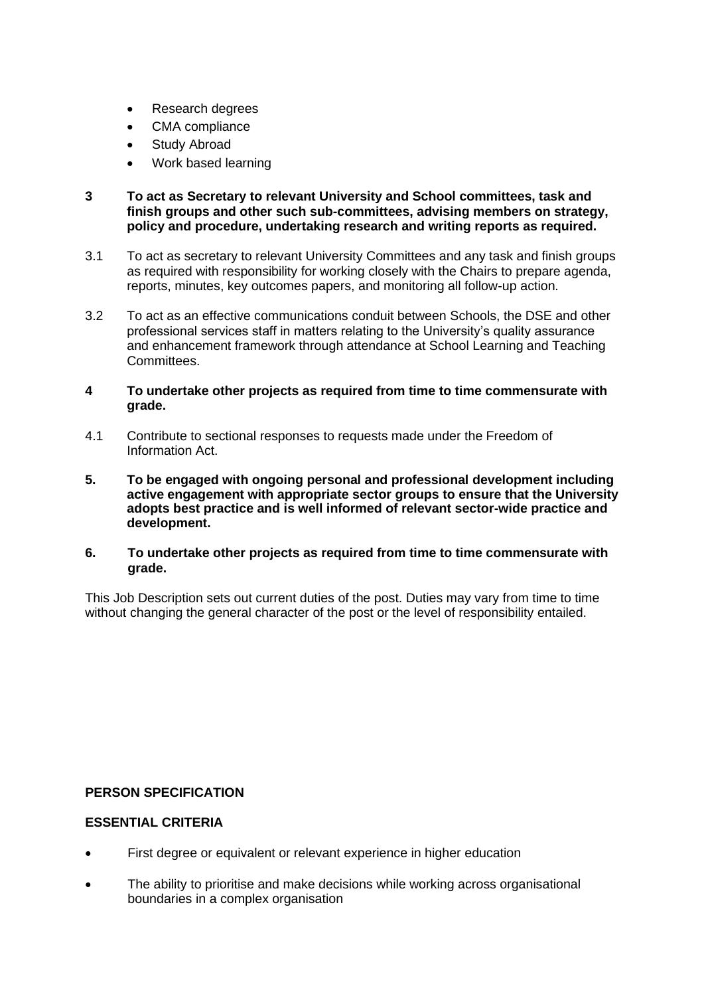- Research degrees
- CMA compliance
- Study Abroad
- Work based learning

#### **3 To act as Secretary to relevant University and School committees, task and finish groups and other such sub-committees, advising members on strategy, policy and procedure, undertaking research and writing reports as required.**

- 3.1 To act as secretary to relevant University Committees and any task and finish groups as required with responsibility for working closely with the Chairs to prepare agenda, reports, minutes, key outcomes papers, and monitoring all follow-up action.
- 3.2 To act as an effective communications conduit between Schools, the DSE and other professional services staff in matters relating to the University's quality assurance and enhancement framework through attendance at School Learning and Teaching **Committees**

#### **4 To undertake other projects as required from time to time commensurate with grade.**

- 4.1 Contribute to sectional responses to requests made under the Freedom of Information Act.
- **5. To be engaged with ongoing personal and professional development including active engagement with appropriate sector groups to ensure that the University adopts best practice and is well informed of relevant sector-wide practice and development.**
- **6. To undertake other projects as required from time to time commensurate with grade.**

This Job Description sets out current duties of the post. Duties may vary from time to time without changing the general character of the post or the level of responsibility entailed.

### **PERSON SPECIFICATION**

# **ESSENTIAL CRITERIA**

- First degree or equivalent or relevant experience in higher education
- The ability to prioritise and make decisions while working across organisational boundaries in a complex organisation